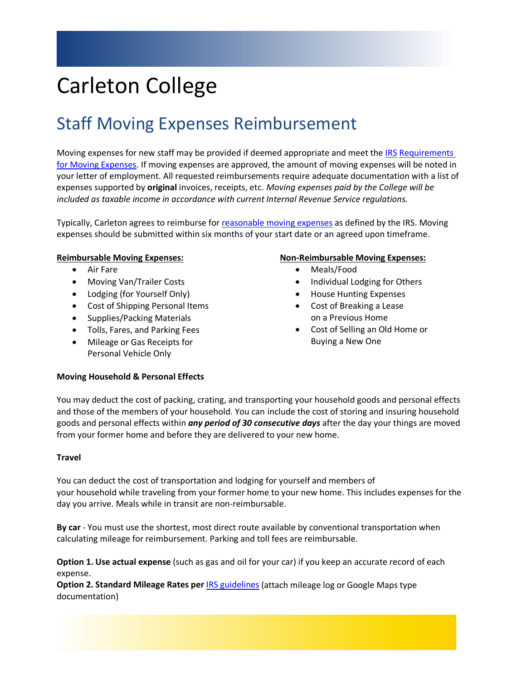# Carleton College

# Staff Moving Expenses Reimbursement

Moving expenses for new staff may be provided if deemed appropriate and meet the [IRS](https://www.irs.gov/pub/irs-pdf/p521.pdf) Requirements [for Moving Expenses.](https://www.irs.gov/pub/irs-pdf/p54.pdf) If moving expenses are approved, the amount of moving expenses will be noted in your letter of employment. All requested reimbursements require adequate documentation with a list of expenses supported by **original** invoices, receipts, etc. *Moving expenses paid by the College will be included as taxable income in accordance with current Internal Revenue Service regulations.*

Typically, Carleton agrees to reimburse for [reasonable moving expenses](https://www.irs.gov/pub/irs-dft/i3903--dft.pdf) as defined by the IRS. Moving expenses should be submitted within six months of your start date or an agreed upon timeframe.

## **Reimbursable Moving Expenses:**

- Air Fare
- Moving Van/Trailer Costs
- Lodging (for Yourself Only)
- Cost of Shipping Personal Items
- Supplies/Packing Materials
- Tolls, Fares, and Parking Fees
- Mileage or Gas Receipts for Personal Vehicle Only

#### **Non-Reimbursable Moving Expenses:**

- Meals/Food
- Individual Lodging for Others
- House Hunting Expenses
- Cost of Breaking a Lease on a Previous Home
- Cost of Selling an Old Home or Buying a New One

#### **Moving Household & Personal Effects**

You may deduct the cost of packing, crating, and transporting your household goods and personal effects and those of the members of your household. You can include the cost of storing and insuring household goods and personal effects within *any period of 30 consecutive days* after the day your things are moved from your former home and before they are delivered to your new home.

#### **Travel**

You can deduct the cost of transportation and lodging for yourself and members of your household while traveling from your former home to your new home. This includes expenses for the day you arrive. Meals while in transit are non-reimbursable.

**By car** - You must use the shortest, most direct route available by conventional transportation when calculating mileage for reimbursement. Parking and toll fees are reimbursable.

**Option 1. Use actual expense** (such as gas and oil for your car) if you keep an accurate record of each expense.

**Option 2. Standard Mileage Rates per** [IRS guidelines](https://www.irs.gov/newsroom/irs-issues-standard-mileage-rates-for-2021) (attach mileage log or Google Maps type documentation)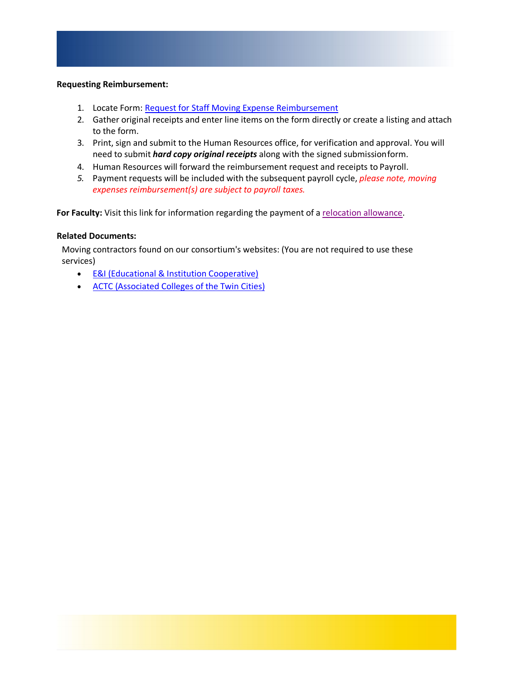#### **Requesting Reimbursement:**

- 1. Locate Form: [Request for Staff Moving Expense](https://d31kydh6n6r5j5.cloudfront.net/uploads/sites/321/2021/01/Moving-Expense-Reimbursement-Form-21.pdf) Reimbursement
- 2. Gather original receipts and enter line items on the form directly or create a listing and attach to the form.
- 3. Print, sign and submit to the Human Resources office, for verification and approval. You will need to submit *hard copy original receipts* along with the signed submissionform.
- 4. Human Resources will forward the reimbursement request and receipts to Payroll.
- *5.* Payment requests will be included with the subsequent payroll cycle, *please note, moving expenses reimbursement(s) are subject to payroll taxes.*

For Faculty: Visit this link for information regarding the payment of a [relocation allowance.](https://www.carleton.edu/incoming-faculty/moving-expenses/)

### **Related Documents:**

Moving contractors found on our consortium's websites: (You are not required to use these services)

- [E&I \(Educational & Institution](https://apps.carleton.edu/campus/business/assets/EI_Listing_2018.pdf) Cooperative)
- [ACTC \(Associated Colleges of the Twin Cities\)](https://apps.carleton.edu/campus/business/assets/ACTC_Contract_List.pdf)